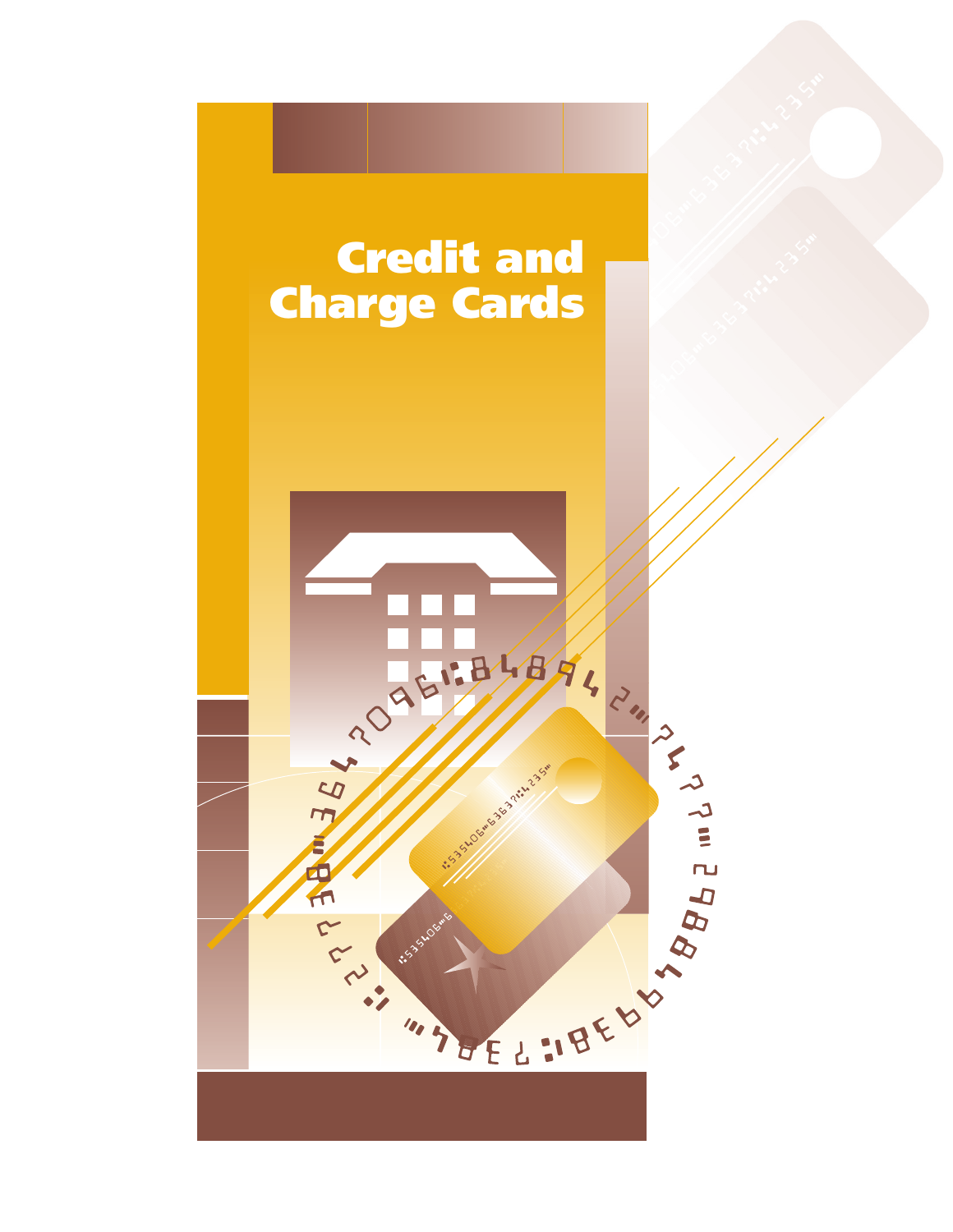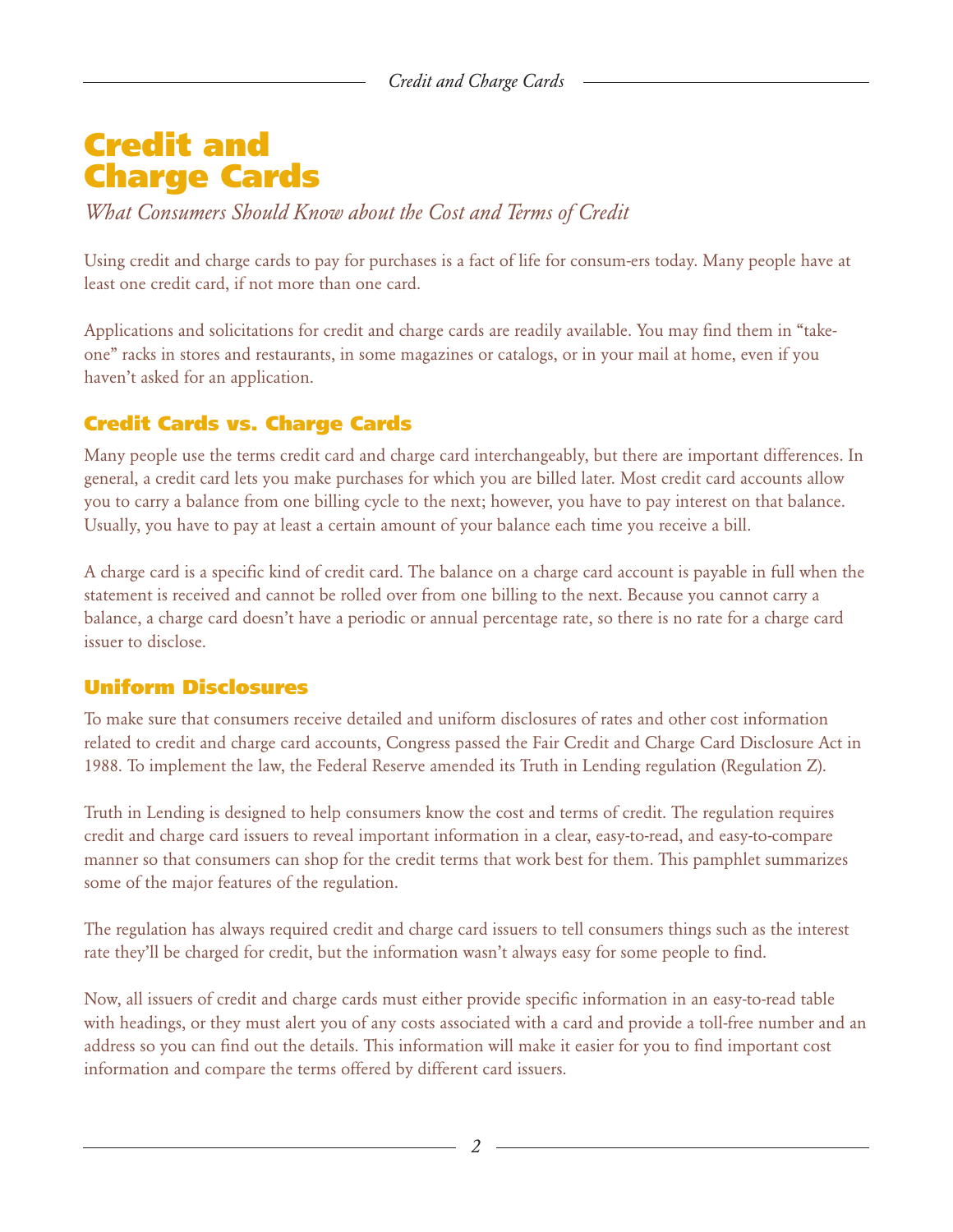# **Credit and Charge Cards**

*What Consumers Should Know about the Cost and Terms of Credit*

Using credit and charge cards to pay for purchases is a fact of life for consum-ers today. Many people have at least one credit card, if not more than one card.

Applications and solicitations for credit and charge cards are readily available. You may find them in "takeone" racks in stores and restaurants, in some magazines or catalogs, or in your mail at home, even if you haven't asked for an application.

# **Credit Cards vs. Charge Cards**

Many people use the terms credit card and charge card interchangeably, but there are important differences. In general, a credit card lets you make purchases for which you are billed later. Most credit card accounts allow you to carry a balance from one billing cycle to the next; however, you have to pay interest on that balance. Usually, you have to pay at least a certain amount of your balance each time you receive a bill.

A charge card is a specific kind of credit card. The balance on a charge card account is payable in full when the statement is received and cannot be rolled over from one billing to the next. Because you cannot carry a balance, a charge card doesn't have a periodic or annual percentage rate, so there is no rate for a charge card issuer to disclose.

## **Uniform Disclosures**

To make sure that consumers receive detailed and uniform disclosures of rates and other cost information related to credit and charge card accounts, Congress passed the Fair Credit and Charge Card Disclosure Act in 1988. To implement the law, the Federal Reserve amended its Truth in Lending regulation (Regulation Z).

Truth in Lending is designed to help consumers know the cost and terms of credit. The regulation requires credit and charge card issuers to reveal important information in a clear, easy-to-read, and easy-to-compare manner so that consumers can shop for the credit terms that work best for them. This pamphlet summarizes some of the major features of the regulation.

The regulation has always required credit and charge card issuers to tell consumers things such as the interest rate they'll be charged for credit, but the information wasn't always easy for some people to find.

Now, all issuers of credit and charge cards must either provide specific information in an easy-to-read table with headings, or they must alert you of any costs associated with a card and provide a toll-free number and an address so you can find out the details. This information will make it easier for you to find important cost information and compare the terms offered by different card issuers.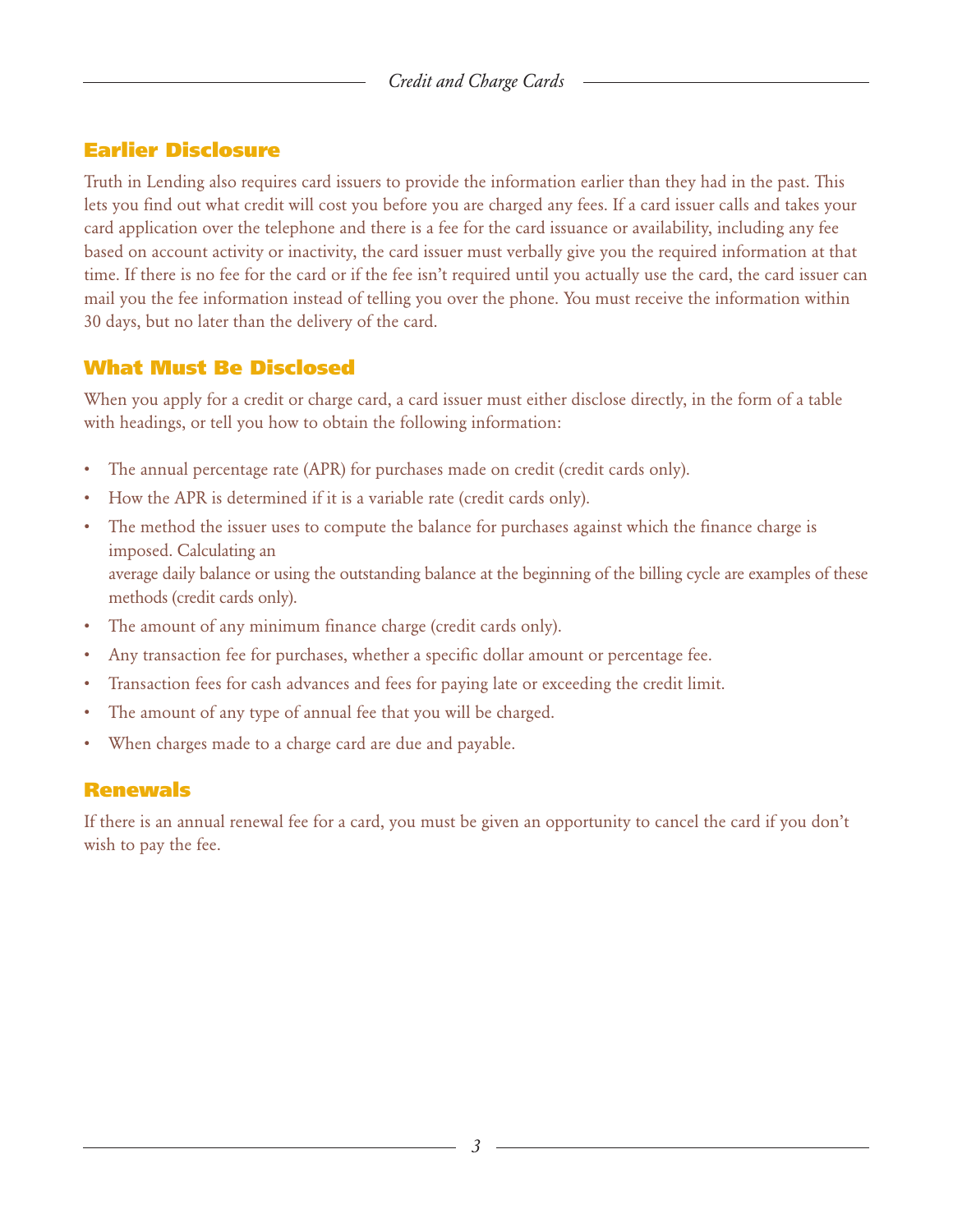## **Earlier Disclosure**

Truth in Lending also requires card issuers to provide the information earlier than they had in the past. This lets you find out what credit will cost you before you are charged any fees. If a card issuer calls and takes your card application over the telephone and there is a fee for the card issuance or availability, including any fee based on account activity or inactivity, the card issuer must verbally give you the required information at that time. If there is no fee for the card or if the fee isn't required until you actually use the card, the card issuer can mail you the fee information instead of telling you over the phone. You must receive the information within 30 days, but no later than the delivery of the card.

## **What Must Be Disclosed**

When you apply for a credit or charge card, a card issuer must either disclose directly, in the form of a table with headings, or tell you how to obtain the following information:

- The annual percentage rate (APR) for purchases made on credit (credit cards only).
- How the APR is determined if it is a variable rate (credit cards only).
- The method the issuer uses to compute the balance for purchases against which the finance charge is imposed. Calculating an average daily balance or using the outstanding balance at the beginning of the billing cycle are examples of these methods (credit cards only).
- The amount of any minimum finance charge (credit cards only).
- Any transaction fee for purchases, whether a specific dollar amount or percentage fee.
- Transaction fees for cash advances and fees for paying late or exceeding the credit limit.
- The amount of any type of annual fee that you will be charged.
- When charges made to a charge card are due and payable.

## **Renewals**

If there is an annual renewal fee for a card, you must be given an opportunity to cancel the card if you don't wish to pay the fee.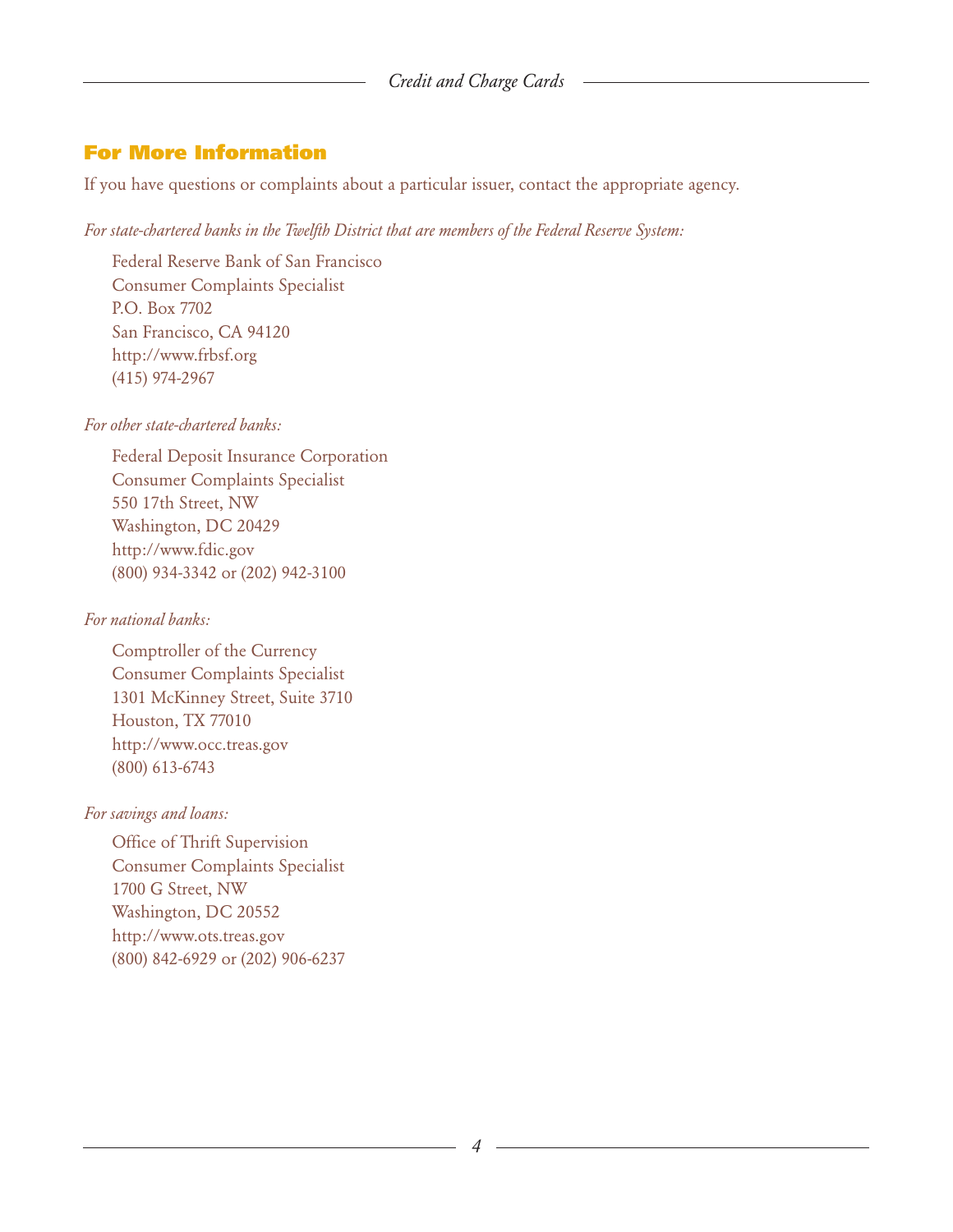## **For More Information**

If you have questions or complaints about a particular issuer, contact the appropriate agency.

#### *For state-chartered banks in the Twelfth District that are members of the Federal Reserve System:*

Federal Reserve Bank of San Francisco Consumer Complaints Specialist P.O. Box 7702 San Francisco, CA 94120 [http://www.frbsf.org](http://www.frbsf.org/) (415) 974-2967

#### *For other state-chartered banks:*

Federal Deposit Insurance Corporation Consumer Complaints Specialist 550 17th Street, NW Washington, DC 20429 [http://www.fdic.gov](http://www.fdic.gov/) (800) 934-3342 or (202) 942-3100

#### *For national banks:*

Comptroller of the Currency Consumer Complaints Specialist 1301 McKinney Street, Suite 3710 Houston, TX 77010 [http://www.occ.treas.gov](http://www.occ.treas.gov/) (800) 613-6743

#### *For savings and loans:*

Office of Thrift Supervision Consumer Complaints Specialist 1700 G Street, NW Washington, DC 20552 [http://www.ots.treas.gov](http://www.ots.treas.gov/) (800) 842-6929 or (202) 906-6237